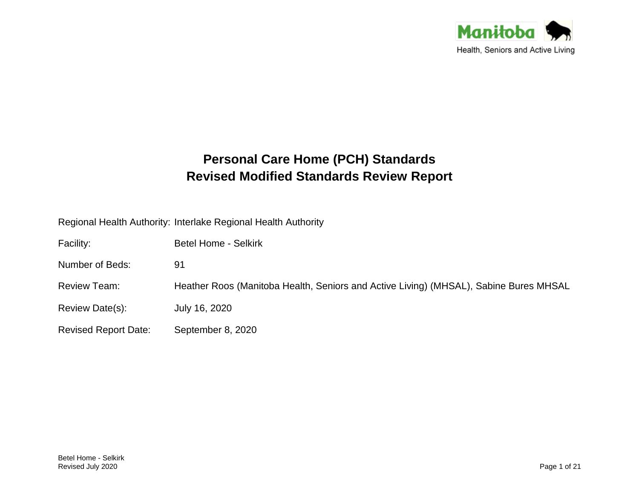

# **Personal Care Home (PCH) Standards Revised Modified Standards Review Report**

Regional Health Authority: Interlake Regional Health Authority

| Facility:                   | <b>Betel Home - Selkirk</b>                                                           |
|-----------------------------|---------------------------------------------------------------------------------------|
| Number of Beds:             | 91                                                                                    |
| Review Team:                | Heather Roos (Manitoba Health, Seniors and Active Living) (MHSAL), Sabine Bures MHSAL |
| Review Date(s):             | July 16, 2020                                                                         |
| <b>Revised Report Date:</b> | September 8, 2020                                                                     |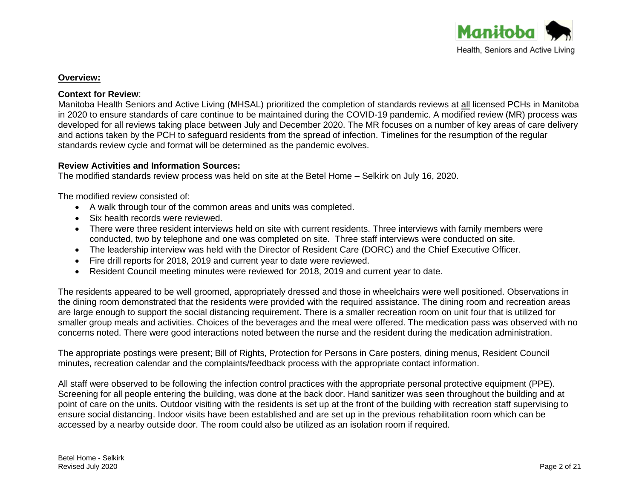

# **Overview:**

# **Context for Review**:

Manitoba Health Seniors and Active Living (MHSAL) prioritized the completion of standards reviews at all licensed PCHs in Manitoba in 2020 to ensure standards of care continue to be maintained during the COVID-19 pandemic. A modified review (MR) process was developed for all reviews taking place between July and December 2020. The MR focuses on a number of key areas of care delivery and actions taken by the PCH to safeguard residents from the spread of infection. Timelines for the resumption of the regular standards review cycle and format will be determined as the pandemic evolves.

# **Review Activities and Information Sources:**

The modified standards review process was held on site at the Betel Home – Selkirk on July 16, 2020.

The modified review consisted of:

- A walk through tour of the common areas and units was completed.
- Six health records were reviewed.
- There were three resident interviews held on site with current residents. Three interviews with family members were conducted, two by telephone and one was completed on site. Three staff interviews were conducted on site.
- The leadership interview was held with the Director of Resident Care (DORC) and the Chief Executive Officer.
- Fire drill reports for 2018, 2019 and current year to date were reviewed.
- Resident Council meeting minutes were reviewed for 2018, 2019 and current year to date.

The residents appeared to be well groomed, appropriately dressed and those in wheelchairs were well positioned. Observations in the dining room demonstrated that the residents were provided with the required assistance. The dining room and recreation areas are large enough to support the social distancing requirement. There is a smaller recreation room on unit four that is utilized for smaller group meals and activities. Choices of the beverages and the meal were offered. The medication pass was observed with no concerns noted. There were good interactions noted between the nurse and the resident during the medication administration.

The appropriate postings were present; Bill of Rights, Protection for Persons in Care posters, dining menus, Resident Council minutes, recreation calendar and the complaints/feedback process with the appropriate contact information.

All staff were observed to be following the infection control practices with the appropriate personal protective equipment (PPE). Screening for all people entering the building, was done at the back door. Hand sanitizer was seen throughout the building and at point of care on the units. Outdoor visiting with the residents is set up at the front of the building with recreation staff supervising to ensure social distancing. Indoor visits have been established and are set up in the previous rehabilitation room which can be accessed by a nearby outside door. The room could also be utilized as an isolation room if required.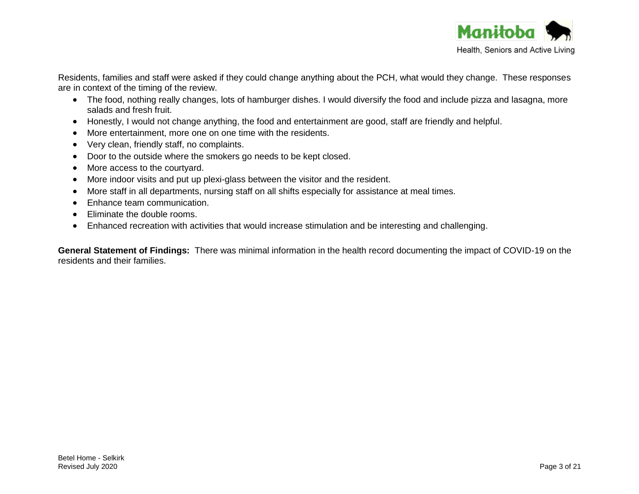

Residents, families and staff were asked if they could change anything about the PCH, what would they change. These responses are in context of the timing of the review.

- The food, nothing really changes, lots of hamburger dishes. I would diversify the food and include pizza and lasagna, more salads and fresh fruit.
- Honestly, I would not change anything, the food and entertainment are good, staff are friendly and helpful.
- More entertainment, more one on one time with the residents.
- Very clean, friendly staff, no complaints.
- Door to the outside where the smokers go needs to be kept closed.
- More access to the courtyard.
- More indoor visits and put up plexi-glass between the visitor and the resident.
- More staff in all departments, nursing staff on all shifts especially for assistance at meal times.
- Enhance team communication.
- Eliminate the double rooms.
- Enhanced recreation with activities that would increase stimulation and be interesting and challenging.

**General Statement of Findings:** There was minimal information in the health record documenting the impact of COVID-19 on the residents and their families.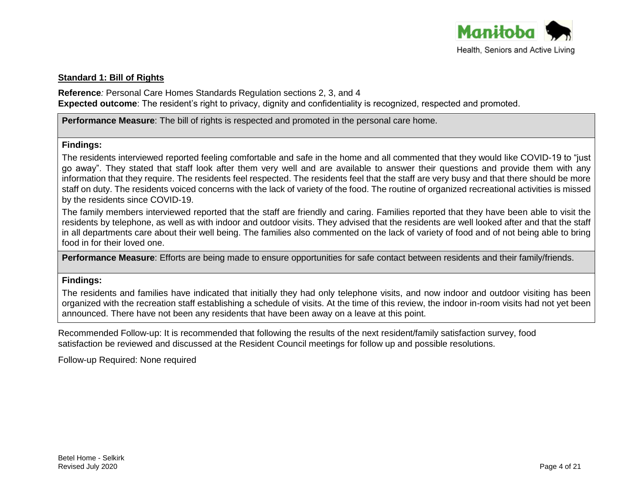

# **Standard 1: Bill of Rights**

**Reference***:* Personal Care Homes Standards Regulation sections 2, 3, and 4 **Expected outcome**: The resident's right to privacy, dignity and confidentiality is recognized, respected and promoted.

# **Performance Measure**: The bill of rights is respected and promoted in the personal care home.

#### **Findings:**

The residents interviewed reported feeling comfortable and safe in the home and all commented that they would like COVID-19 to "just go away". They stated that staff look after them very well and are available to answer their questions and provide them with any information that they require. The residents feel respected. The residents feel that the staff are very busy and that there should be more staff on duty. The residents voiced concerns with the lack of variety of the food. The routine of organized recreational activities is missed by the residents since COVID-19.

The family members interviewed reported that the staff are friendly and caring. Families reported that they have been able to visit the residents by telephone, as well as with indoor and outdoor visits. They advised that the residents are well looked after and that the staff in all departments care about their well being. The families also commented on the lack of variety of food and of not being able to bring food in for their loved one.

**Performance Measure**: Efforts are being made to ensure opportunities for safe contact between residents and their family/friends.

#### **Findings:**

The residents and families have indicated that initially they had only telephone visits, and now indoor and outdoor visiting has been organized with the recreation staff establishing a schedule of visits. At the time of this review, the indoor in-room visits had not yet been announced. There have not been any residents that have been away on a leave at this point.

Recommended Follow-up: It is recommended that following the results of the next resident/family satisfaction survey, food satisfaction be reviewed and discussed at the Resident Council meetings for follow up and possible resolutions.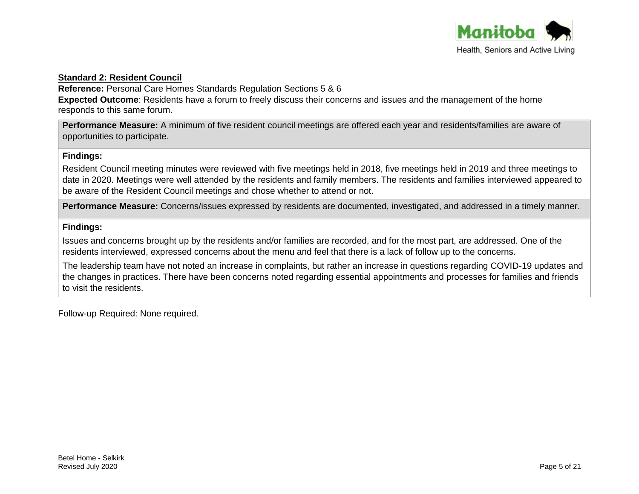

# **Standard 2: Resident Council**

**Reference:** Personal Care Homes Standards Regulation Sections 5 & 6

**Expected Outcome**: Residents have a forum to freely discuss their concerns and issues and the management of the home responds to this same forum.

**Performance Measure:** A minimum of five resident council meetings are offered each year and residents/families are aware of opportunities to participate.

# **Findings:**

Resident Council meeting minutes were reviewed with five meetings held in 2018, five meetings held in 2019 and three meetings to date in 2020. Meetings were well attended by the residents and family members. The residents and families interviewed appeared to be aware of the Resident Council meetings and chose whether to attend or not.

**Performance Measure:** Concerns/issues expressed by residents are documented, investigated, and addressed in a timely manner.

# **Findings:**

Issues and concerns brought up by the residents and/or families are recorded, and for the most part, are addressed. One of the residents interviewed, expressed concerns about the menu and feel that there is a lack of follow up to the concerns.

The leadership team have not noted an increase in complaints, but rather an increase in questions regarding COVID-19 updates and the changes in practices. There have been concerns noted regarding essential appointments and processes for families and friends to visit the residents.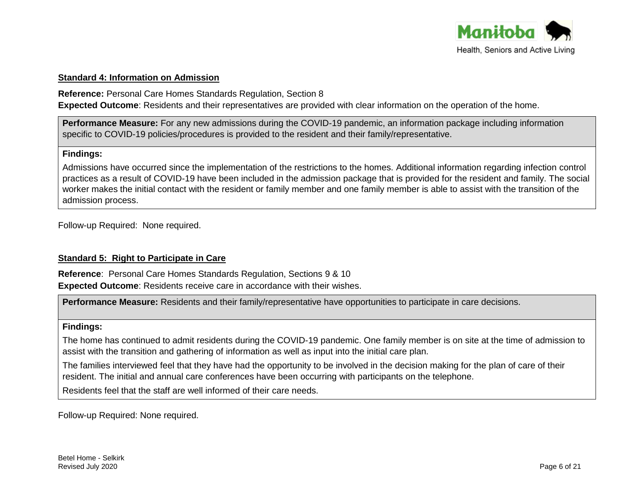

#### **Standard 4: Information on Admission**

**Reference:** Personal Care Homes Standards Regulation, Section 8

**Expected Outcome**: Residents and their representatives are provided with clear information on the operation of the home.

**Performance Measure:** For any new admissions during the COVID-19 pandemic, an information package including information specific to COVID-19 policies/procedures is provided to the resident and their family/representative.

#### **Findings:**

Admissions have occurred since the implementation of the restrictions to the homes. Additional information regarding infection control practices as a result of COVID-19 have been included in the admission package that is provided for the resident and family. The social worker makes the initial contact with the resident or family member and one family member is able to assist with the transition of the admission process.

Follow-up Required: None required.

# **Standard 5: Right to Participate in Care**

**Reference**: Personal Care Homes Standards Regulation, Sections 9 & 10 **Expected Outcome**: Residents receive care in accordance with their wishes.

**Performance Measure:** Residents and their family/representative have opportunities to participate in care decisions.

#### **Findings:**

The home has continued to admit residents during the COVID-19 pandemic. One family member is on site at the time of admission to assist with the transition and gathering of information as well as input into the initial care plan.

The families interviewed feel that they have had the opportunity to be involved in the decision making for the plan of care of their resident. The initial and annual care conferences have been occurring with participants on the telephone.

Residents feel that the staff are well informed of their care needs.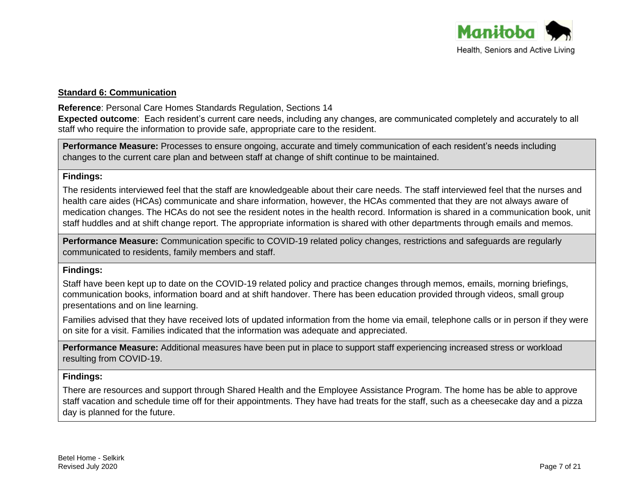

# **Standard 6: Communication**

**Reference**: Personal Care Homes Standards Regulation, Sections 14

**Expected outcome**: Each resident's current care needs, including any changes, are communicated completely and accurately to all staff who require the information to provide safe, appropriate care to the resident.

**Performance Measure:** Processes to ensure ongoing, accurate and timely communication of each resident's needs including changes to the current care plan and between staff at change of shift continue to be maintained.

# **Findings:**

The residents interviewed feel that the staff are knowledgeable about their care needs. The staff interviewed feel that the nurses and health care aides (HCAs) communicate and share information, however, the HCAs commented that they are not always aware of medication changes. The HCAs do not see the resident notes in the health record. Information is shared in a communication book, unit staff huddles and at shift change report. The appropriate information is shared with other departments through emails and memos.

**Performance Measure:** Communication specific to COVID-19 related policy changes, restrictions and safeguards are regularly communicated to residents, family members and staff.

# **Findings:**

Staff have been kept up to date on the COVID-19 related policy and practice changes through memos, emails, morning briefings, communication books, information board and at shift handover. There has been education provided through videos, small group presentations and on line learning.

Families advised that they have received lots of updated information from the home via email, telephone calls or in person if they were on site for a visit. Families indicated that the information was adequate and appreciated.

**Performance Measure:** Additional measures have been put in place to support staff experiencing increased stress or workload resulting from COVID-19.

# **Findings:**

There are resources and support through Shared Health and the Employee Assistance Program. The home has be able to approve staff vacation and schedule time off for their appointments. They have had treats for the staff, such as a cheesecake day and a pizza day is planned for the future.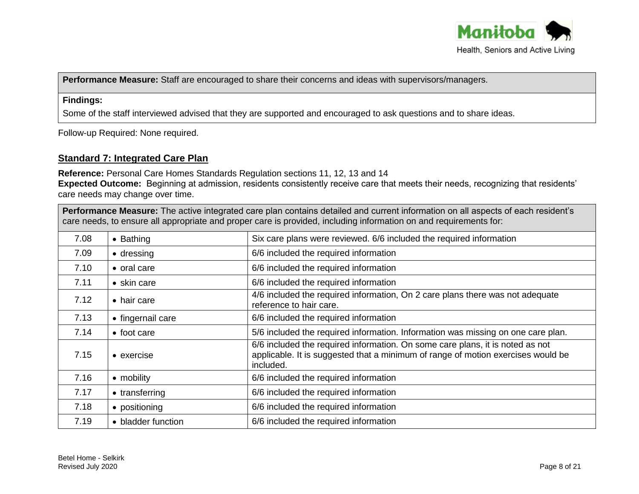

**Performance Measure:** Staff are encouraged to share their concerns and ideas with supervisors/managers.

# **Findings:**

Some of the staff interviewed advised that they are supported and encouraged to ask questions and to share ideas.

Follow-up Required: None required.

# **Standard 7: Integrated Care Plan**

**Reference:** Personal Care Homes Standards Regulation sections 11, 12, 13 and 14 **Expected Outcome:** Beginning at admission, residents consistently receive care that meets their needs, recognizing that residents' care needs may change over time.

| Performance Measure: The active integrated care plan contains detailed and current information on all aspects of each resident's<br>care needs, to ensure all appropriate and proper care is provided, including information on and requirements for: |                     |                                                                                                                                                                                |
|-------------------------------------------------------------------------------------------------------------------------------------------------------------------------------------------------------------------------------------------------------|---------------------|--------------------------------------------------------------------------------------------------------------------------------------------------------------------------------|
| 7.08                                                                                                                                                                                                                                                  | $\bullet$ Bathing   | Six care plans were reviewed. 6/6 included the required information                                                                                                            |
| 7.09                                                                                                                                                                                                                                                  | $\bullet$ dressing  | 6/6 included the required information                                                                                                                                          |
| 7.10                                                                                                                                                                                                                                                  | • oral care         | 6/6 included the required information                                                                                                                                          |
| 7.11                                                                                                                                                                                                                                                  | $\bullet$ skin care | 6/6 included the required information                                                                                                                                          |
| 7.12                                                                                                                                                                                                                                                  | • hair care         | 4/6 included the required information, On 2 care plans there was not adequate<br>reference to hair care.                                                                       |
| 7.13                                                                                                                                                                                                                                                  | • fingernail care   | 6/6 included the required information                                                                                                                                          |
| 7.14                                                                                                                                                                                                                                                  | • foot care         | 5/6 included the required information. Information was missing on one care plan.                                                                                               |
| 7.15                                                                                                                                                                                                                                                  | $\bullet$ exercise  | 6/6 included the required information. On some care plans, it is noted as not<br>applicable. It is suggested that a minimum of range of motion exercises would be<br>included. |
| 7.16                                                                                                                                                                                                                                                  | • mobility          | 6/6 included the required information                                                                                                                                          |
| 7.17                                                                                                                                                                                                                                                  | • transferring      | 6/6 included the required information                                                                                                                                          |
| 7.18                                                                                                                                                                                                                                                  | • positioning       | 6/6 included the required information                                                                                                                                          |
| 7.19                                                                                                                                                                                                                                                  | • bladder function  | 6/6 included the required information                                                                                                                                          |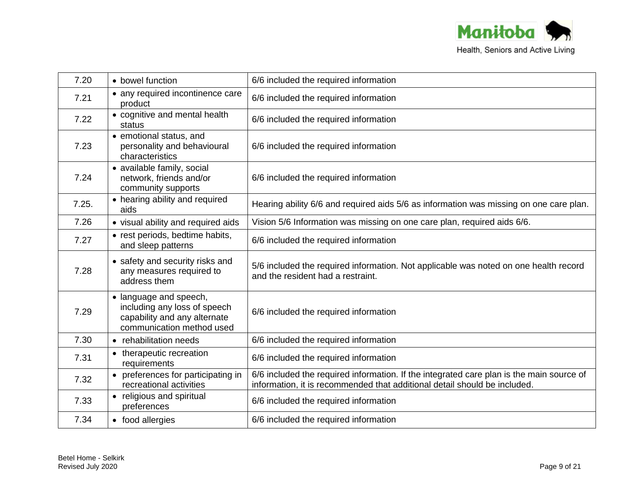

| 7.20  | • bowel function                                                                                                    | 6/6 included the required information                                                                                                                                 |
|-------|---------------------------------------------------------------------------------------------------------------------|-----------------------------------------------------------------------------------------------------------------------------------------------------------------------|
| 7.21  | • any required incontinence care<br>product                                                                         | 6/6 included the required information                                                                                                                                 |
| 7.22  | • cognitive and mental health<br>status                                                                             | 6/6 included the required information                                                                                                                                 |
| 7.23  | • emotional status, and<br>personality and behavioural<br>characteristics                                           | 6/6 included the required information                                                                                                                                 |
| 7.24  | • available family, social<br>network, friends and/or<br>community supports                                         | 6/6 included the required information                                                                                                                                 |
| 7.25. | • hearing ability and required<br>aids                                                                              | Hearing ability 6/6 and required aids 5/6 as information was missing on one care plan.                                                                                |
| 7.26  | • visual ability and required aids                                                                                  | Vision 5/6 Information was missing on one care plan, required aids 6/6.                                                                                               |
| 7.27  | • rest periods, bedtime habits,<br>and sleep patterns                                                               | 6/6 included the required information                                                                                                                                 |
| 7.28  | • safety and security risks and<br>any measures required to<br>address them                                         | 5/6 included the required information. Not applicable was noted on one health record<br>and the resident had a restraint.                                             |
| 7.29  | • language and speech,<br>including any loss of speech<br>capability and any alternate<br>communication method used | 6/6 included the required information                                                                                                                                 |
| 7.30  | • rehabilitation needs                                                                                              | 6/6 included the required information                                                                                                                                 |
| 7.31  | • therapeutic recreation<br>requirements                                                                            | 6/6 included the required information                                                                                                                                 |
| 7.32  | • preferences for participating in<br>recreational activities                                                       | 6/6 included the required information. If the integrated care plan is the main source of<br>information, it is recommended that additional detail should be included. |
| 7.33  | • religious and spiritual<br>preferences                                                                            | 6/6 included the required information                                                                                                                                 |
| 7.34  | • food allergies                                                                                                    | 6/6 included the required information                                                                                                                                 |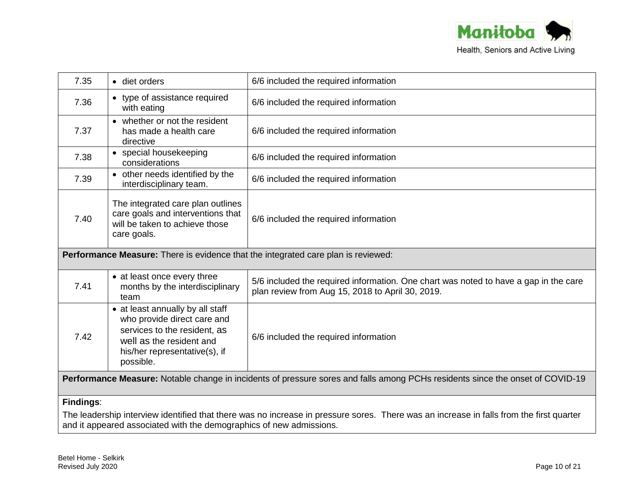

| 7.35                                                                                                                                                                                                           | • diet orders                                                                                                                                                             | 6/6 included the required information                                                                                                    |
|----------------------------------------------------------------------------------------------------------------------------------------------------------------------------------------------------------------|---------------------------------------------------------------------------------------------------------------------------------------------------------------------------|------------------------------------------------------------------------------------------------------------------------------------------|
| 7.36                                                                                                                                                                                                           | • type of assistance required<br>with eating                                                                                                                              | 6/6 included the required information                                                                                                    |
| 7.37                                                                                                                                                                                                           | • whether or not the resident<br>has made a health care<br>directive                                                                                                      | 6/6 included the required information                                                                                                    |
| 7.38                                                                                                                                                                                                           | • special housekeeping<br>considerations                                                                                                                                  | 6/6 included the required information                                                                                                    |
| 7.39                                                                                                                                                                                                           | • other needs identified by the<br>interdisciplinary team.                                                                                                                | 6/6 included the required information                                                                                                    |
| 7.40                                                                                                                                                                                                           | The integrated care plan outlines<br>care goals and interventions that<br>will be taken to achieve those<br>care goals.                                                   | 6/6 included the required information                                                                                                    |
| Performance Measure: There is evidence that the integrated care plan is reviewed:                                                                                                                              |                                                                                                                                                                           |                                                                                                                                          |
| 7.41                                                                                                                                                                                                           | • at least once every three<br>months by the interdisciplinary<br>team                                                                                                    | 5/6 included the required information. One chart was noted to have a gap in the care<br>plan review from Aug 15, 2018 to April 30, 2019. |
| 7.42                                                                                                                                                                                                           | • at least annually by all staff<br>who provide direct care and<br>services to the resident, as<br>well as the resident and<br>his/her representative(s), if<br>possible. | 6/6 included the required information                                                                                                    |
| Performance Measure: Notable change in incidents of pressure sores and falls among PCHs residents since the onset of COVID-19                                                                                  |                                                                                                                                                                           |                                                                                                                                          |
| Findings:                                                                                                                                                                                                      |                                                                                                                                                                           |                                                                                                                                          |
| The leadership interview identified that there was no increase in pressure sores. There was an increase in falls from the first quarter<br>and it appeared associated with the demographics of new admissions. |                                                                                                                                                                           |                                                                                                                                          |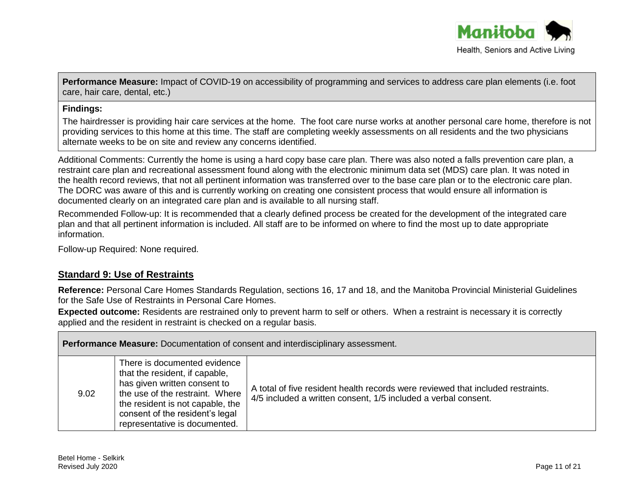

**Performance Measure:** Impact of COVID-19 on accessibility of programming and services to address care plan elements (i.e. foot care, hair care, dental, etc.)

#### **Findings:**

The hairdresser is providing hair care services at the home. The foot care nurse works at another personal care home, therefore is not providing services to this home at this time. The staff are completing weekly assessments on all residents and the two physicians alternate weeks to be on site and review any concerns identified.

Additional Comments: Currently the home is using a hard copy base care plan. There was also noted a falls prevention care plan, a restraint care plan and recreational assessment found along with the electronic minimum data set (MDS) care plan. It was noted in the health record reviews, that not all pertinent information was transferred over to the base care plan or to the electronic care plan. The DORC was aware of this and is currently working on creating one consistent process that would ensure all information is documented clearly on an integrated care plan and is available to all nursing staff.

Recommended Follow-up: It is recommended that a clearly defined process be created for the development of the integrated care plan and that all pertinent information is included. All staff are to be informed on where to find the most up to date appropriate information.

Follow-up Required: None required.

# **Standard 9: Use of Restraints**

**Reference:** Personal Care Homes Standards Regulation, sections 16, 17 and 18, and the Manitoba Provincial Ministerial Guidelines for the Safe Use of Restraints in Personal Care Homes.

**Expected outcome:** Residents are restrained only to prevent harm to self or others. When a restraint is necessary it is correctly applied and the resident in restraint is checked on a regular basis.

| <b>Performance Measure:</b> Documentation of consent and interdisciplinary assessment. |                                                                                                                                                                                                                                           |                                                                                                                                                   |
|----------------------------------------------------------------------------------------|-------------------------------------------------------------------------------------------------------------------------------------------------------------------------------------------------------------------------------------------|---------------------------------------------------------------------------------------------------------------------------------------------------|
| 9.02                                                                                   | There is documented evidence<br>that the resident, if capable,<br>has given written consent to<br>the use of the restraint. Where<br>the resident is not capable, the<br>consent of the resident's legal<br>representative is documented. | A total of five resident health records were reviewed that included restraints.<br>4/5 included a written consent, 1/5 included a verbal consent. |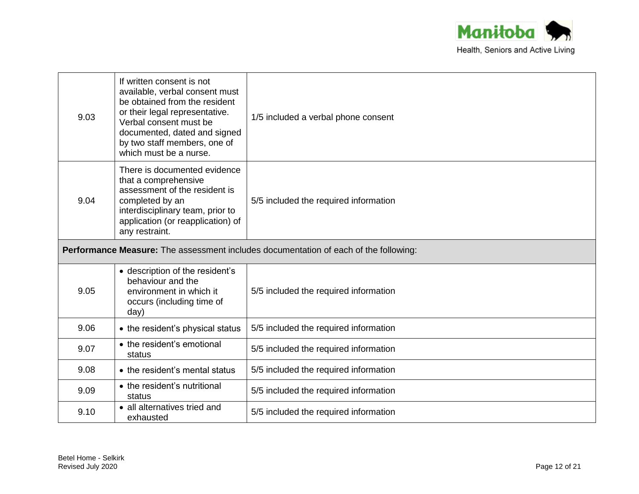

| 9.03                                                                                 | If written consent is not<br>available, verbal consent must<br>be obtained from the resident<br>or their legal representative.<br>Verbal consent must be<br>documented, dated and signed<br>by two staff members, one of<br>which must be a nurse. | 1/5 included a verbal phone consent   |
|--------------------------------------------------------------------------------------|----------------------------------------------------------------------------------------------------------------------------------------------------------------------------------------------------------------------------------------------------|---------------------------------------|
| 9.04                                                                                 | There is documented evidence<br>that a comprehensive<br>assessment of the resident is<br>completed by an<br>interdisciplinary team, prior to<br>application (or reapplication) of<br>any restraint.                                                | 5/5 included the required information |
| Performance Measure: The assessment includes documentation of each of the following: |                                                                                                                                                                                                                                                    |                                       |
| 9.05                                                                                 | • description of the resident's<br>behaviour and the<br>environment in which it<br>occurs (including time of<br>day)                                                                                                                               | 5/5 included the required information |
| 9.06                                                                                 | • the resident's physical status                                                                                                                                                                                                                   | 5/5 included the required information |
| 9.07                                                                                 | • the resident's emotional<br>status                                                                                                                                                                                                               | 5/5 included the required information |
| 9.08                                                                                 | • the resident's mental status                                                                                                                                                                                                                     | 5/5 included the required information |
| 9.09                                                                                 | • the resident's nutritional<br>status                                                                                                                                                                                                             | 5/5 included the required information |
| 9.10                                                                                 | • all alternatives tried and<br>exhausted                                                                                                                                                                                                          | 5/5 included the required information |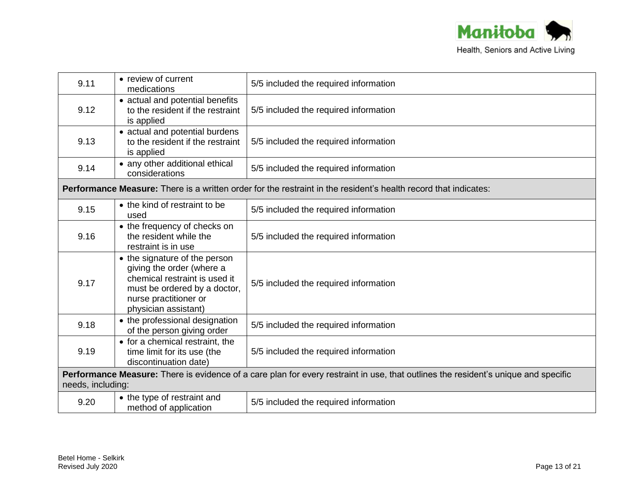

| 9.11 | • review of current<br>medications                                                                                                                                           | 5/5 included the required information                                                                                  |  |
|------|------------------------------------------------------------------------------------------------------------------------------------------------------------------------------|------------------------------------------------------------------------------------------------------------------------|--|
| 9.12 | • actual and potential benefits<br>to the resident if the restraint<br>is applied                                                                                            | 5/5 included the required information                                                                                  |  |
| 9.13 | • actual and potential burdens<br>to the resident if the restraint<br>is applied                                                                                             | 5/5 included the required information                                                                                  |  |
| 9.14 | • any other additional ethical<br>considerations                                                                                                                             | 5/5 included the required information                                                                                  |  |
|      |                                                                                                                                                                              | <b>Performance Measure:</b> There is a written order for the restraint in the resident's health record that indicates: |  |
| 9.15 | • the kind of restraint to be<br>used                                                                                                                                        | 5/5 included the required information                                                                                  |  |
| 9.16 | • the frequency of checks on<br>the resident while the<br>restraint is in use                                                                                                | 5/5 included the required information                                                                                  |  |
| 9.17 | • the signature of the person<br>giving the order (where a<br>chemical restraint is used it<br>must be ordered by a doctor,<br>nurse practitioner or<br>physician assistant) | 5/5 included the required information                                                                                  |  |
| 9.18 | • the professional designation<br>of the person giving order                                                                                                                 | 5/5 included the required information                                                                                  |  |
| 9.19 | • for a chemical restraint, the<br>time limit for its use (the<br>discontinuation date)                                                                                      | 5/5 included the required information                                                                                  |  |
|      | Performance Measure: There is evidence of a care plan for every restraint in use, that outlines the resident's unique and specific<br>needs, including:                      |                                                                                                                        |  |
| 9.20 | • the type of restraint and<br>method of application                                                                                                                         | 5/5 included the required information                                                                                  |  |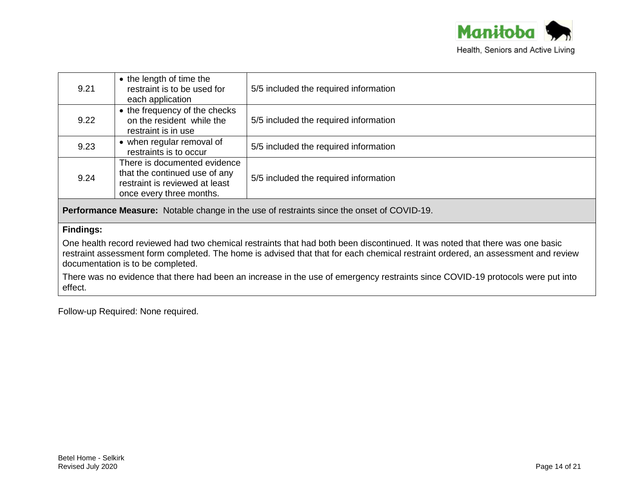

| 9.21 | • the length of time the<br>restraint is to be used for<br>each application                                                 | 5/5 included the required information |
|------|-----------------------------------------------------------------------------------------------------------------------------|---------------------------------------|
| 9.22 | • the frequency of the checks<br>on the resident while the<br>restraint is in use                                           | 5/5 included the required information |
| 9.23 | • when regular removal of<br>restraints is to occur                                                                         | 5/5 included the required information |
| 9.24 | There is documented evidence<br>that the continued use of any<br>restraint is reviewed at least<br>once every three months. | 5/5 included the required information |

**Performance Measure:** Notable change in the use of restraints since the onset of COVID-19.

# **Findings:**

One health record reviewed had two chemical restraints that had both been discontinued. It was noted that there was one basic restraint assessment form completed. The home is advised that that for each chemical restraint ordered, an assessment and review documentation is to be completed.

There was no evidence that there had been an increase in the use of emergency restraints since COVID-19 protocols were put into effect.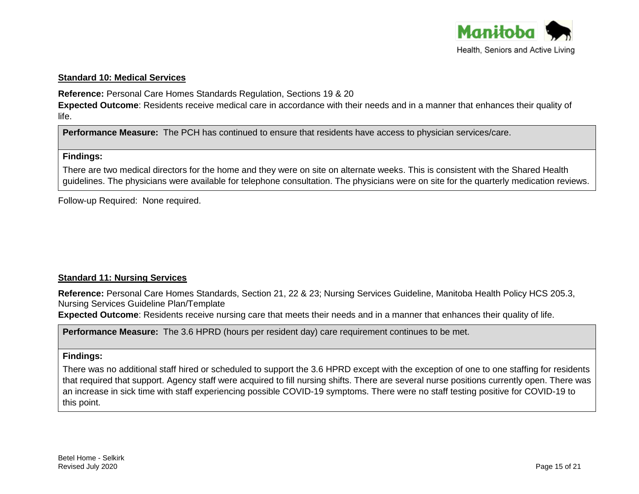

#### **Standard 10: Medical Services**

**Reference:** Personal Care Homes Standards Regulation, Sections 19 & 20

**Expected Outcome**: Residents receive medical care in accordance with their needs and in a manner that enhances their quality of life.

**Performance Measure:** The PCH has continued to ensure that residents have access to physician services/care.

#### **Findings:**

There are two medical directors for the home and they were on site on alternate weeks. This is consistent with the Shared Health guidelines. The physicians were available for telephone consultation. The physicians were on site for the quarterly medication reviews.

Follow-up Required: None required.

# **Standard 11: Nursing Services**

**Reference:** Personal Care Homes Standards, Section 21, 22 & 23; Nursing Services Guideline, Manitoba Health Policy HCS 205.3, Nursing Services Guideline Plan/Template

**Expected Outcome**: Residents receive nursing care that meets their needs and in a manner that enhances their quality of life.

**Performance Measure:** The 3.6 HPRD (hours per resident day) care requirement continues to be met.

#### **Findings:**

There was no additional staff hired or scheduled to support the 3.6 HPRD except with the exception of one to one staffing for residents that required that support. Agency staff were acquired to fill nursing shifts. There are several nurse positions currently open. There was an increase in sick time with staff experiencing possible COVID-19 symptoms. There were no staff testing positive for COVID-19 to this point.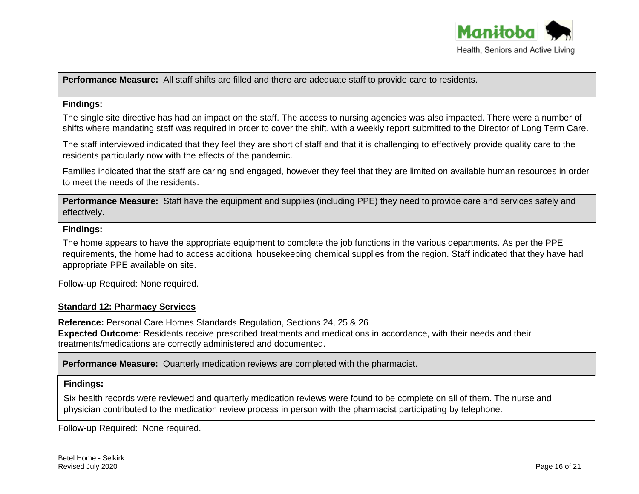

**Performance Measure:** All staff shifts are filled and there are adequate staff to provide care to residents.

#### **Findings:**

The single site directive has had an impact on the staff. The access to nursing agencies was also impacted. There were a number of shifts where mandating staff was required in order to cover the shift, with a weekly report submitted to the Director of Long Term Care.

The staff interviewed indicated that they feel they are short of staff and that it is challenging to effectively provide quality care to the residents particularly now with the effects of the pandemic.

Families indicated that the staff are caring and engaged, however they feel that they are limited on available human resources in order to meet the needs of the residents.

**Performance Measure:** Staff have the equipment and supplies (including PPE) they need to provide care and services safely and effectively.

#### **Findings:**

The home appears to have the appropriate equipment to complete the job functions in the various departments. As per the PPE requirements, the home had to access additional housekeeping chemical supplies from the region. Staff indicated that they have had appropriate PPE available on site.

Follow-up Required: None required.

# **Standard 12: Pharmacy Services**

**Reference:** Personal Care Homes Standards Regulation, Sections 24, 25 & 26 **Expected Outcome**: Residents receive prescribed treatments and medications in accordance, with their needs and their treatments/medications are correctly administered and documented.

**Performance Measure:** Quarterly medication reviews are completed with the pharmacist.

# **Findings:**

Six health records were reviewed and quarterly medication reviews were found to be complete on all of them. The nurse and physician contributed to the medication review process in person with the pharmacist participating by telephone.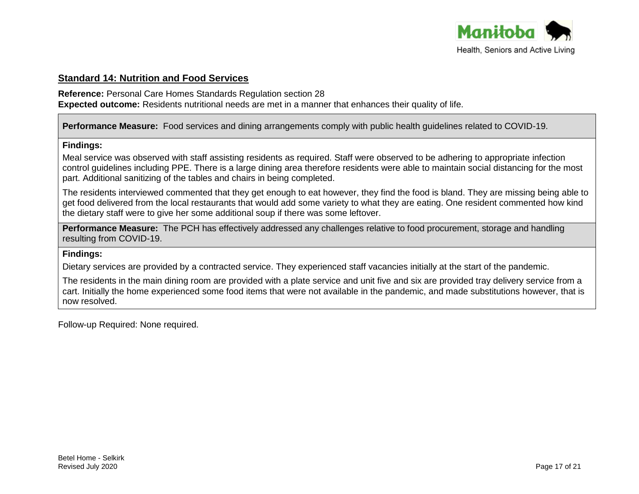

# **Standard 14: Nutrition and Food Services**

**Reference:** Personal Care Homes Standards Regulation section 28

**Expected outcome:** Residents nutritional needs are met in a manner that enhances their quality of life.

**Performance Measure:** Food services and dining arrangements comply with public health guidelines related to COVID-19.

# **Findings:**

Meal service was observed with staff assisting residents as required. Staff were observed to be adhering to appropriate infection control guidelines including PPE. There is a large dining area therefore residents were able to maintain social distancing for the most part. Additional sanitizing of the tables and chairs in being completed.

The residents interviewed commented that they get enough to eat however, they find the food is bland. They are missing being able to get food delivered from the local restaurants that would add some variety to what they are eating. One resident commented how kind the dietary staff were to give her some additional soup if there was some leftover.

**Performance Measure:** The PCH has effectively addressed any challenges relative to food procurement, storage and handling resulting from COVID-19.

# **Findings:**

Dietary services are provided by a contracted service. They experienced staff vacancies initially at the start of the pandemic.

The residents in the main dining room are provided with a plate service and unit five and six are provided tray delivery service from a cart. Initially the home experienced some food items that were not available in the pandemic, and made substitutions however, that is now resolved.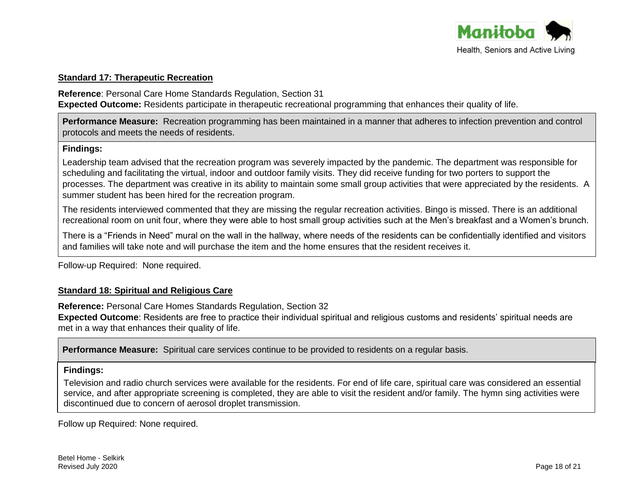

#### **Standard 17: Therapeutic Recreation**

**Reference**: Personal Care Home Standards Regulation, Section 31 **Expected Outcome:** Residents participate in therapeutic recreational programming that enhances their quality of life.

**Performance Measure:** Recreation programming has been maintained in a manner that adheres to infection prevention and control protocols and meets the needs of residents.

#### **Findings:**

Leadership team advised that the recreation program was severely impacted by the pandemic. The department was responsible for scheduling and facilitating the virtual, indoor and outdoor family visits. They did receive funding for two porters to support the processes. The department was creative in its ability to maintain some small group activities that were appreciated by the residents. A summer student has been hired for the recreation program.

The residents interviewed commented that they are missing the regular recreation activities. Bingo is missed. There is an additional recreational room on unit four, where they were able to host small group activities such at the Men's breakfast and a Women's brunch.

There is a "Friends in Need" mural on the wall in the hallway, where needs of the residents can be confidentially identified and visitors and families will take note and will purchase the item and the home ensures that the resident receives it.

Follow-up Required: None required.

# **Standard 18: Spiritual and Religious Care**

**Reference:** Personal Care Homes Standards Regulation, Section 32

**Expected Outcome**: Residents are free to practice their individual spiritual and religious customs and residents' spiritual needs are met in a way that enhances their quality of life.

**Performance Measure:** Spiritual care services continue to be provided to residents on a regular basis.

#### **Findings:**

Television and radio church services were available for the residents. For end of life care, spiritual care was considered an essential service, and after appropriate screening is completed, they are able to visit the resident and/or family. The hymn sing activities were discontinued due to concern of aerosol droplet transmission.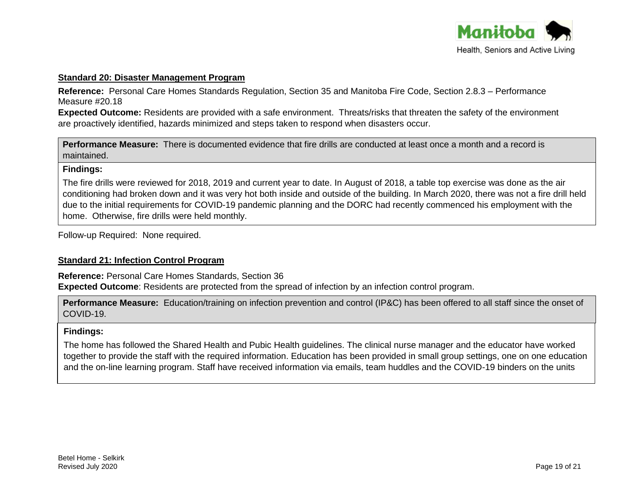

#### **Standard 20: Disaster Management Program**

**Reference:** Personal Care Homes Standards Regulation, Section 35 and Manitoba Fire Code, Section 2.8.3 – Performance Measure #20.18

**Expected Outcome:** Residents are provided with a safe environment. Threats/risks that threaten the safety of the environment are proactively identified, hazards minimized and steps taken to respond when disasters occur.

**Performance Measure:** There is documented evidence that fire drills are conducted at least once a month and a record is maintained.

# **Findings:**

The fire drills were reviewed for 2018, 2019 and current year to date. In August of 2018, a table top exercise was done as the air conditioning had broken down and it was very hot both inside and outside of the building. In March 2020, there was not a fire drill held due to the initial requirements for COVID-19 pandemic planning and the DORC had recently commenced his employment with the home. Otherwise, fire drills were held monthly.

Follow-up Required: None required.

# **Standard 21: Infection Control Program**

**Reference:** Personal Care Homes Standards, Section 36 **Expected Outcome**: Residents are protected from the spread of infection by an infection control program.

**Performance Measure:** Education/training on infection prevention and control (IP&C) has been offered to all staff since the onset of COVID-19.

# **Findings:**

The home has followed the Shared Health and Pubic Health guidelines. The clinical nurse manager and the educator have worked together to provide the staff with the required information. Education has been provided in small group settings, one on one education and the on-line learning program. Staff have received information via emails, team huddles and the COVID-19 binders on the units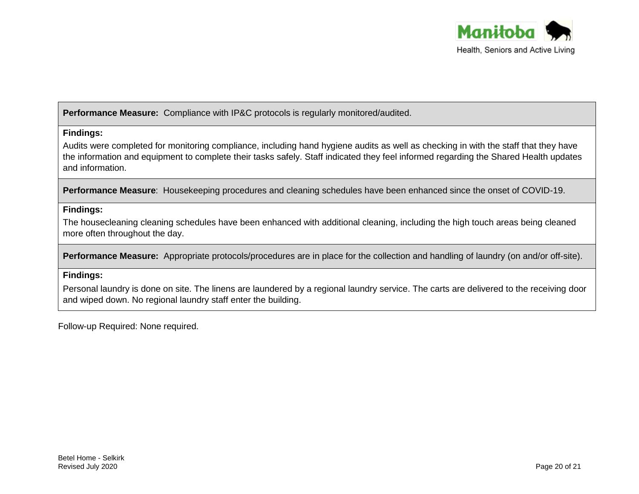

**Performance Measure:** Compliance with IP&C protocols is regularly monitored/audited.

# **Findings:**

Audits were completed for monitoring compliance, including hand hygiene audits as well as checking in with the staff that they have the information and equipment to complete their tasks safely. Staff indicated they feel informed regarding the Shared Health updates and information.

**Performance Measure**: Housekeeping procedures and cleaning schedules have been enhanced since the onset of COVID-19.

# **Findings:**

The housecleaning cleaning schedules have been enhanced with additional cleaning, including the high touch areas being cleaned more often throughout the day.

**Performance Measure:** Appropriate protocols/procedures are in place for the collection and handling of laundry (on and/or off-site).

# **Findings:**

Personal laundry is done on site. The linens are laundered by a regional laundry service. The carts are delivered to the receiving door and wiped down. No regional laundry staff enter the building.